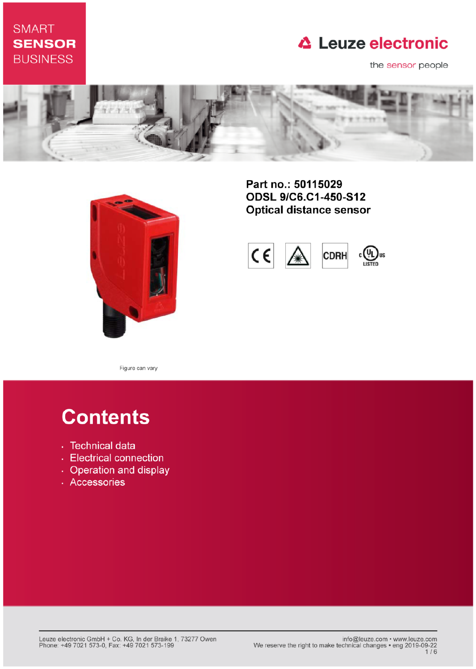## **SMART SENSOR BUSINESS**

## **△ Leuze electronic**

the sensor people





Part no.: 50115029 ODSL 9/C6.C1-450-S12 **Optical distance sensor** 



Figure can vary

# **Contents**

- · Technical data
- Electrical connection
- Operation and display
- · Accessories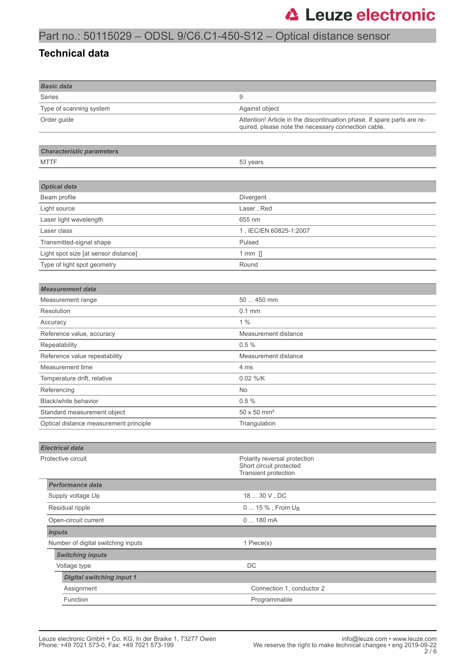## Part no.: 50115029 – ODSL 9/C6.C1-450-S12 – Optical distance sensor

#### **Technical data**

| <b>Basic data</b>                      |                                                                                                                                |  |
|----------------------------------------|--------------------------------------------------------------------------------------------------------------------------------|--|
| Series                                 | 9                                                                                                                              |  |
| Type of scanning system                | Against object                                                                                                                 |  |
| Order guide                            | Attention! Article in the discontinuation phase. If spare parts are re-<br>quired, please note the necessary connection cable. |  |
|                                        |                                                                                                                                |  |
| <b>Characteristic parameters</b>       |                                                                                                                                |  |
| <b>MTTF</b>                            | 53 years                                                                                                                       |  |
|                                        |                                                                                                                                |  |
| <b>Optical data</b>                    |                                                                                                                                |  |
| Beam profile                           | Divergent                                                                                                                      |  |
| Light source                           | Laser, Red                                                                                                                     |  |
| Laser light wavelength                 | 655 nm                                                                                                                         |  |
| Laser class                            | 1, IEC/EN 60825-1:2007                                                                                                         |  |
| Transmitted-signal shape               | Pulsed                                                                                                                         |  |
| Light spot size [at sensor distance]   | 1 mm $[]$                                                                                                                      |  |
| Type of light spot geometry            | Round                                                                                                                          |  |
|                                        |                                                                                                                                |  |
| <b>Measurement data</b>                |                                                                                                                                |  |
| Measurement range                      | 50  450 mm                                                                                                                     |  |
| Resolution                             | $0.1$ mm                                                                                                                       |  |
| Accuracy                               | 1%                                                                                                                             |  |
| Reference value, accuracy              | Measurement distance                                                                                                           |  |
| Repeatability                          | 0.5%                                                                                                                           |  |
| Reference value repeatability          | Measurement distance                                                                                                           |  |
| Measurement time                       | 4 ms                                                                                                                           |  |
| Temperature drift, relative            | 0.02 %/K                                                                                                                       |  |
| Referencing                            | No                                                                                                                             |  |
| Black/white behavior                   | 0.5%                                                                                                                           |  |
| Standard measurement object            | 50 x 50 mm <sup>2</sup>                                                                                                        |  |
| Optical distance measurement principle | Triangulation                                                                                                                  |  |
|                                        |                                                                                                                                |  |
| <b>Electrical data</b>                 |                                                                                                                                |  |
| Protective circuit                     | Polarity reversal protection<br>Short circuit protected<br>Transient protection                                                |  |
| <b>Performance data</b>                |                                                                                                                                |  |
| Supply voltage U <sub>B</sub>          | 18  30 V , DC                                                                                                                  |  |
| Residual ripple                        | 0  15 %, From U <sub>B</sub>                                                                                                   |  |
| Open-circuit current                   | 0180mA                                                                                                                         |  |
| <b>Inputs</b>                          |                                                                                                                                |  |
| Number of digital switching inputs     | 1 Piece(s)                                                                                                                     |  |
| <b>Switching inputs</b>                |                                                                                                                                |  |
| Voltage type                           | DC                                                                                                                             |  |
| <b>Digital switching input 1</b>       |                                                                                                                                |  |
| Assignment                             | Connection 1, conductor 2                                                                                                      |  |
| Function                               | Programmable                                                                                                                   |  |
|                                        |                                                                                                                                |  |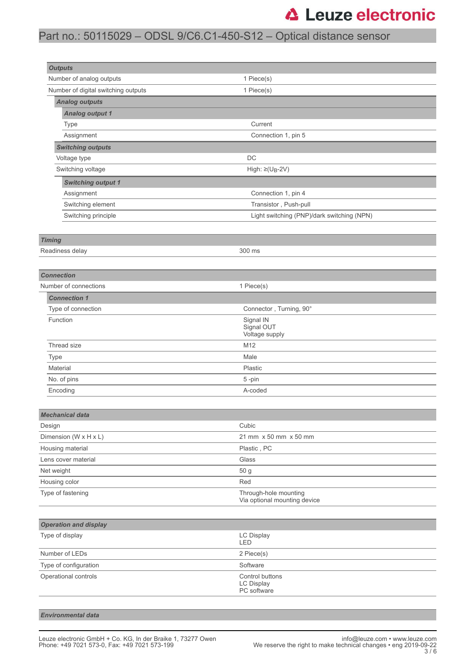## **△ Leuze electronic**

## Part no.: 50115029 – ODSL 9/C6.C1-450-S12 – Optical distance sensor

| <b>Outputs</b>                      |                                                     |  |
|-------------------------------------|-----------------------------------------------------|--|
| Number of analog outputs            | 1 Piece(s)                                          |  |
| Number of digital switching outputs | 1 Piece(s)                                          |  |
| <b>Analog outputs</b>               |                                                     |  |
| <b>Analog output 1</b>              |                                                     |  |
| Type                                | Current                                             |  |
| Connection 1, pin 5<br>Assignment   |                                                     |  |
| <b>Switching outputs</b>            |                                                     |  |
| Voltage type                        | DC                                                  |  |
| Switching voltage                   | High: $\geq$ (U <sub>B</sub> -2V)                   |  |
| <b>Switching output 1</b>           |                                                     |  |
| Assignment                          | Connection 1, pin 4                                 |  |
| Switching element                   | Transistor, Push-pull                               |  |
| Switching principle                 | Light switching (PNP)/dark switching (NPN)          |  |
|                                     |                                                     |  |
| <b>Timing</b>                       |                                                     |  |
| Readiness delay                     | 300 ms                                              |  |
|                                     |                                                     |  |
| <b>Connection</b>                   |                                                     |  |
| Number of connections               | 1 Piece(s)                                          |  |
| <b>Connection 1</b>                 |                                                     |  |
| Type of connection                  | Connector, Turning, 90°                             |  |
| Function                            | Signal IN                                           |  |
|                                     | Signal OUT<br>Voltage supply                        |  |
| Thread size                         | M12                                                 |  |
| Type                                | Male                                                |  |
| Material<br>Plastic                 |                                                     |  |
| No. of pins                         | 5-pin                                               |  |
| Encoding                            | A-coded                                             |  |
|                                     |                                                     |  |
| <b>Mechanical data</b>              |                                                     |  |
| Design                              | Cubic                                               |  |
| Dimension ( $W \times H \times L$ ) | 21 mm x 50 mm x 50 mm                               |  |
| Housing material                    | Plastic, PC                                         |  |
| Lens cover material                 | Glass                                               |  |
| Net weight                          | 50 g                                                |  |
| Housing color                       | Red                                                 |  |
| Type of fastening                   | Through-hole mounting                               |  |
|                                     | Via optional mounting device                        |  |
|                                     |                                                     |  |
| <b>Operation and display</b>        |                                                     |  |
| Type of display                     | LC Display<br>LED                                   |  |
| Number of LEDs                      | 2 Piece(s)                                          |  |
| Type of configuration               | Software                                            |  |
| Operational controls                | Control buttons<br><b>LC Display</b><br>PC software |  |
|                                     |                                                     |  |

#### *Environmental data*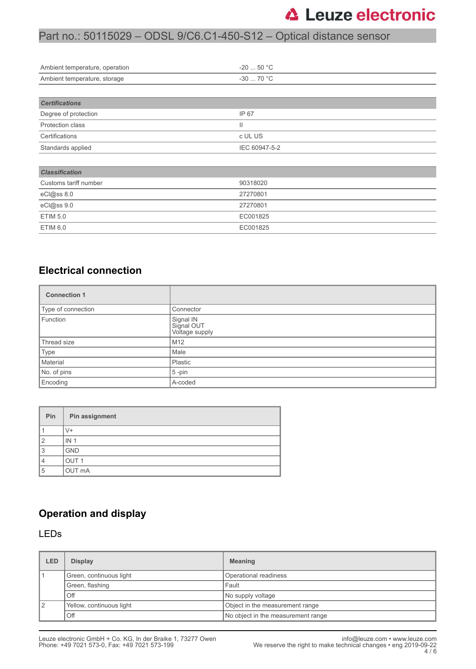## **△ Leuze electronic**

### Part no.: 50115029 – ODSL 9/C6.C1-450-S12 – Optical distance sensor

| Ambient temperature, operation | $-20$ 50 °C   |  |  |
|--------------------------------|---------------|--|--|
| Ambient temperature, storage   | $-3070 °C$    |  |  |
|                                |               |  |  |
| <b>Certifications</b>          |               |  |  |
| Degree of protection           | IP 67         |  |  |
| Protection class               | Ш             |  |  |
| Certifications                 | c UL US       |  |  |
| Standards applied              | IEC 60947-5-2 |  |  |
|                                |               |  |  |
| <b>Classification</b>          |               |  |  |
| Customs tariff number          | 90318020      |  |  |
| eCl@ss 8.0                     | 27270801      |  |  |
| eCl@ss 9.0                     | 27270801      |  |  |
| <b>ETIM 5.0</b>                | EC001825      |  |  |
| ETIM 6.0                       | EC001825      |  |  |

#### **Electrical connection**

| <b>Connection 1</b> |                                           |  |
|---------------------|-------------------------------------------|--|
| Type of connection  | Connector                                 |  |
| Function            | Signal IN<br>Signal OUT<br>Voltage supply |  |
| Thread size         | M12                                       |  |
| Type                | Male                                      |  |
| Material            | Plastic                                   |  |
| No. of pins         | $5$ -pin                                  |  |
| Encoding            | A-coded                                   |  |

| Pin            | Pin assignment   |
|----------------|------------------|
|                | V+               |
| $\overline{2}$ | IN <sub>1</sub>  |
| 3              | <b>GND</b>       |
| 4              | OUT <sub>1</sub> |
| 5              | OUT mA           |

### **Operation and display**

#### LEDs

| LED            | <b>Display</b>           | <b>Meaning</b>                     |  |
|----------------|--------------------------|------------------------------------|--|
|                | Green, continuous light  | Operational readiness              |  |
|                | Green, flashing          | Fault                              |  |
|                | Off                      | No supply voltage                  |  |
| $\overline{2}$ | Yellow, continuous light | Object in the measurement range    |  |
|                | Off                      | No object in the measurement range |  |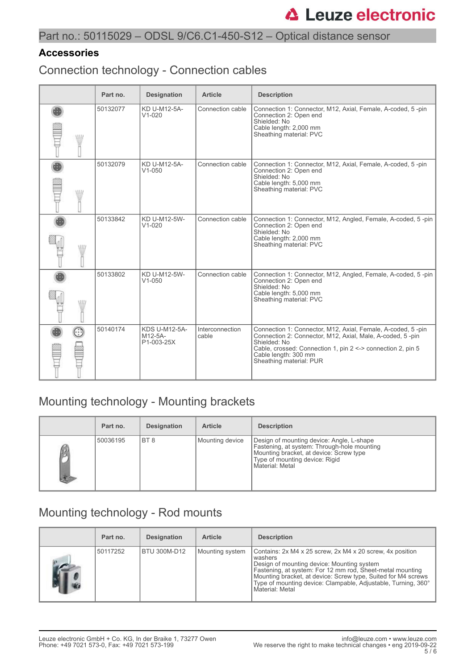### Part no.: 50115029 – ODSL 9/C6.C1-450-S12 – Optical distance sensor

#### **Accessories**

Connection technology - Connection cables

|       | Part no. | <b>Designation</b>                            | <b>Article</b>           | <b>Description</b>                                                                                                                                                                                                                                         |
|-------|----------|-----------------------------------------------|--------------------------|------------------------------------------------------------------------------------------------------------------------------------------------------------------------------------------------------------------------------------------------------------|
| W     | 50132077 | KD U-M12-5A-<br>$V1 - 020$                    | Connection cable         | Connection 1: Connector, M12, Axial, Female, A-coded, 5-pin<br>Connection 2: Open end<br>Shielded: No<br>Cable length: 2,000 mm<br>Sheathing material: PVC                                                                                                 |
| W     | 50132079 | KD U-M12-5A-<br>$V1 - 050$                    | Connection cable         | Connection 1: Connector, M12, Axial, Female, A-coded, 5-pin<br>Connection 2: Open end<br>Shielded: No<br>Cable length: 5,000 mm<br>Sheathing material: PVC                                                                                                 |
| \\ll/ | 50133842 | KD U-M12-5W-<br>$V1 - 020$                    | Connection cable         | Connection 1: Connector, M12, Angled, Female, A-coded, 5-pin<br>Connection 2: Open end<br>Shielded: No<br>Cable length: 2,000 mm<br>Sheathing material: PVC                                                                                                |
| WW    | 50133802 | KD U-M12-5W-<br>$V1 - 050$                    | Connection cable         | Connection 1: Connector, M12, Angled, Female, A-coded, 5-pin<br>Connection 2: Open end<br>Shielded: No<br>Cable length: 5,000 mm<br>Sheathing material: PVC                                                                                                |
|       | 50140174 | <b>KDS U-M12-5A-</b><br>M12-5A-<br>P1-003-25X | Interconnection<br>cable | Connection 1: Connector, M12, Axial, Female, A-coded, 5-pin<br>Connection 2: Connector, M12, Axial, Male, A-coded, 5-pin<br>Shielded: No<br>Cable, crossed: Connection 1, pin 2 <-> connection 2, pin 5<br>Cable length: 300 mm<br>Sheathing material: PUR |

## Mounting technology - Mounting brackets

| Part no. | <b>Designation</b> | <b>Article</b>  | <b>Description</b>                                                                                                                                                                       |
|----------|--------------------|-----------------|------------------------------------------------------------------------------------------------------------------------------------------------------------------------------------------|
| 50036195 | I BT 8             | Mounting device | Design of mounting device: Angle, L-shape<br>Fastening, at system: Through-hole mounting<br>Mounting bracket, at device: Screw type<br>Type of mounting device: Rigid<br>Material: Metal |

## Mounting technology - Rod mounts

| Part no. | <b>Designation</b> | <b>Article</b>  | <b>Description</b>                                                                                                                                                                                                                                                                                                                   |
|----------|--------------------|-----------------|--------------------------------------------------------------------------------------------------------------------------------------------------------------------------------------------------------------------------------------------------------------------------------------------------------------------------------------|
| 50117252 | BTU 300M-D12       | Mounting system | Contains: 2x M4 x 25 screw, 2x M4 x 20 screw, 4x position<br>washers<br>Design of mounting device: Mounting system<br>Fastening, at system: For 12 mm rod, Sheet-metal mounting<br>Mounting bracket, at device: Screw type, Suited for M4 screws<br>Type of mounting device: Clampable, Adjustable, Turning, 360°<br>Material: Metal |